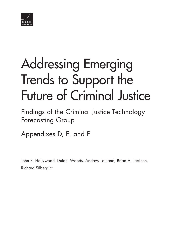

# Addressing Emerging Trends to Support the [Future of Criminal Justice](https://www.rand.org/pubs/research_reports/RR1987.html)

Findings of the Criminal Justice Technology Forecasting Group

Appendixes D, E, and F

John S. Hollywood, Dulani Woods, Andrew Lauland, Brian A. Jackson, Richard Silberglitt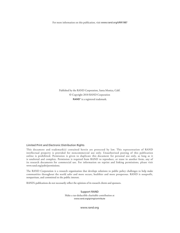For more information on this publication, visit [www.rand.org/t/RR1987](http://www.rand.org/t/RR1987)

Published by the RAND Corporation, Santa Monica, Calif. © Copyright 2018 RAND Corporation RAND<sup>®</sup> is a registered trademark.

#### Limited Print and Electronic Distribution Rights

This document and trademark(s) contained herein are protected by law. This representation of RAND intellectual property is provided for noncommercial use only. Unauthorized posting of this publication online is prohibited. Permission is given to duplicate this document for personal use only, as long as it is unaltered and complete. Permission is required from RAND to reproduce, or reuse in another form, any of its research documents for commercial use. For information on reprint and linking permissions, please visit [www.rand.org/pubs/permissions.](http://www.rand.org/pubs/permissions)

The RAND Corporation is a research organization that develops solutions to public policy challenges to help make communities throughout the world safer and more secure, healthier and more prosperous. RAND is nonprofit, nonpartisan, and committed to the public interest.

RAND's publications do not necessarily reflect the opinions of its research clients and sponsors.

Support RAND Make a tax-deductible charitable contribution at [www.rand.org/giving/contribute](http://www.rand.org/giving/contribute)

[www.rand.org](http://www.rand.org)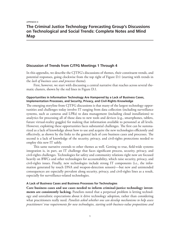# **The Criminal Justice Technology Forecasting Group's Discussions on Technological and Social Trends: Complete Notes and Mind Map**

#### **Discussion of Trends from CJTFG Meetings 1 Through 4**

In this appendix, we describe the CJTFG's discussions of themes, their constituent trends, and potential responses, going clockwise from the top right of Figure D.1 (starting with trends in the *lack of business cases and processes* theme).

First, however, we start with discussing a central narrative that reaches across several thematic clusters, shown by the red lines in Figure D.1.

#### **Opportunities in Information Technology Are Hampered by a Lack of Business Cases, Implementation Processes, and Security, Privacy, and Civil-Rights Knowledge**

The emerging storyline from CJTFG discussions is that many of the largest technology opportunities and challenges today involve IT ranging from data collection (including surveillance systems, such as cameras and LPRs) to data management (including cloud installations) to analytics for processing all of those data to new tools and devices (e.g., smartphones, tablets, future virtual-reality goggles) for making that information available to personnel at all levels. However, exploiting these opportunities faces substantial challenges. The first can be summarized as a lack of knowledge about how to use and acquire the new technologies efficiently and effectively, as shown by the links to the general lack of core business cases and processes. The second is a lack of knowledge of the security, privacy, and civil-rights protections needed to employ this new IT safely.

This same narrative extends to other themes as well. Getting to true, field-wide systems integration is, in part, an IT challenge that faces significant process, security, privacy, and civil-rights challenges. Technologies for safety and community relations right now are focused heavily on BWCs and other technologies for accountability, which raise security, privacy, and civil-rights issues. Finally, new technologies include strong IT components (i.e., the information generated by touch DNA and weapon-detection sensors)—but new and unintended consequences are especially prevalent along security, privacy, and civil-rights lines as a result, especially for surveillance-related technologies.

#### **A Lack of Business Cases and Business Processes for Technologies**

**Core business cases and use cases needed to inform criminal-justice technology investments are consistently lacking.** Panelists noted that a perpetual problem is letting technology and unrealistic expectations about it drive technology adoption, rather than considering what practitioners really need. *Panelists asked whether one can develop mechanisms to help assess practitioners' true requirements for new technologies, starting with business-value propositions and*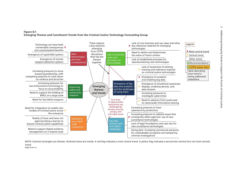

NOTE: Colored rectangles are themes. Outlined items are trends. A red flag indicates a most central trend. A yellow flag indicates a second-tier (central but not most central)trend.**RAND** *RR1987-D.1*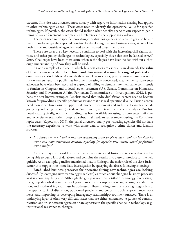*use cases*. This idea was discussed most notably with regard to information-sharing but applied to other technologies as well. These cases need to identify the operational value for specified technologies. If possible, the cases should include what benefits agencies can expect to get in terms of law-enforcement outcomes, with references to the supporting evidence.

The cases need to be specific, providing checklists for agencies on what to get and how to use it in order to get the expected benefits. In developing the core business cases, stakeholders both inside and outside of agencies need to be involved to get their buy-in.

These core cases are a key necessary condition to deal with the increasing civil-rights, privacy, and other policy challenges to technologies, especially those that can be labeled *surveillance*. Challenges have been most acute when technologies have been fielded without a thorough understanding of how they will be used.

As one example of a place in which business cases are especially in demand, **the value of fusion centers needs to be defined and disseminated across the range of political and community stakeholders**. Although there are clear successes, privacy groups remain wary of fusion centers, and the public has become increasingly concerned; meanwhile, fusion-center advocates have often been accused as a group of failing to demonstrate their value consistently to funders in Congress and to local law enforcement (U.S. Senate, Committee on Homeland Security and Government Affairs, Permanent Subcommittee on Investigations, 2012, is perhaps the best-known example). Panelists noted that individual fusion centers need to become known for providing a specific product or service that has real operational value. Fusion centers need more-open functions to support stakeholder involvement and auditing. Examples include going beyond being reactive (outside of "wait mode") and training others on analyses. Panelists noted that, typically, not much funding has been available for using fusion-center staff time and expertise to train others despite a substantial need. As an example, during the East Coast rapist cases (Zapotosky, 2013), the panel discussed, many participating agencies did not have the necessary experience to work with crime data to recognize a crime cluster and identify suspects.

• *Is a fusion center a location that can consistently train people to access and use key data for crime and counterterrorism analysis, especially for agencies that cannot afford professional crime analysts?*

Another major value-add of real-time crime centers and fusion centers was described as being able to query lots of databases and combine the results into a useful product for the field quickly. As an example, panelists mentioned that, in Chicago, the major role of the city's fusion center is to support the immediate investigation by querying databases following shootings.

**Established business processes for operationalizing new technologies are lacking.**  Successfully leveraging new technology is (at least) as much about changing business processes as it is about anything else. Although the group is nominally titled "technology forecasting," the group described a rich vein of governance, business-process reengineering, standardization, and silo-breaking that must be addressed. These findings are unsurprising. Regardless of the specific topic of discussion, traditional problems and concerns (such as governance, work flows, and improving or developing interagency relationships) routinely surfaced. There is an underlying layer of often very difficult issues that are either entrenched (e.g., lack of communication and trust between agencies) or are agnostic to the specific change in technology (e.g., institutional resistance to change).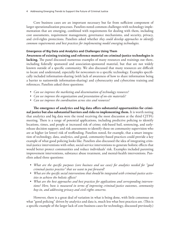Core business cases are an important necessary but far from sufficient component of larger operationalization processes. Panelists noted common challenges with technology implementation that are emerging, combined with requirements for dealing with them, including cost assessments, requirement management, governance mechanisms, and security, privacy, and civil-rights protections. Panelists asked whether *they could develop approaches to identify common requirements and best practices for implementing model emerging technologies.*

#### **Emergence of Big Data and Analytics and Challenges Using Them**

**Awareness of existing training and reference material on criminal-justice technologies is**  lacking. The panel discussed numerous examples of many resources and trainings out there, including federally sponsored and association-sponsored material, but that are not widely known outside of a specific community. We also discussed that many resources are difficult to locate and understand, especially for newcomers to a specific technology. Examples specifically included information-sharing (with lack of awareness of how to share information being a barrier to nationwide information-sharing) and cybersecurity and cybercrime training and references. Panelists asked three questions:

- *Can we improve the marketing and dissemination of technology resources?*
- *Can we improve the organization and presentation of on-site materials?*
- *Can we improve the coordination across sites and resources?*

**The emergence of analytics and big data offers substantial opportunities for criminal justice but also substantial barriers and risks to implementing them.** It is worth noting that analytics and big data were the trend receiving the most discussion at the third CJTFG meeting. There is a range of potential applications, including predictive policing to identify locations, times, and people at increased risk of crime; risk-based bail, sentencing, and earlyrelease decision support; and risk assessments to identify those on community supervision who are at higher (or lower) risk of reoffending. Panelists noted, for example, that a smart integration of technology, data, analytics, and good, community-based practices could provide a key example of what good policing looks like. Panelists also discussed the idea of integrating criminal-justice interventions with other, social-service interventions to generate holistic effects that would better protect communities and reduce individuals' risk. Examples included parenting improvement interventions, substance abuse treatment, and mental-health interventions. Panelists asked three questions:

- *What are the specific purposes (core business and use cases) for analytics needed for "good criminal-justice practice" that we want to put forward?*
- *What are the specific social interventions that should be integrated with criminal-justice activities to achieve the holistic effects?*
- *What are the best approaches and best practices for applications and corresponding interventions? Here,* best *is measured in terms of improving criminal-justice outcomes, community buy-in, and addressing privacy and civil-rights concerns.*

However, there is a great deal of variation in what is being done, with little consensus on what "good policing" driven by analytics and data is, much less what best practices are. (This is a specific example of the larger lack of core business cases for technology, discussed previously.)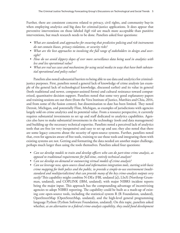Further, there are consistent concerns related to privacy, civil rights, and community buy-in when employing analytics and big data for criminal-justice applications. It does appear that preventive interventions on those labeled *high risk* are much more acceptable than punitive interventions, but much research needs to be done. Panelists asked four questions:

- *What are standards and approaches for ensuring that predictive policing and risk instruments do not contain biases, privacy violations, or security risks?*
- *What are the best approaches to involving the full range of stakeholders in design and oversight?*
- *How do we avoid slippery slopes of ever more surveillance data being used in analytics with less and less operational value?*
- *What are real use cases and mechanisms for using social media in ways that have both substantial operational and policy value?*

Panelists also noted substantial barriers to being able to use data and analytics for criminaljustice purposes. First, panelists noted a general lack of knowledge of crime analysis (an example of the general lack of technological knowledge, discussed earlier) and its value in general (both traditional and newer, computer-assisted forms) and cultural resistance toward computerized, quantitative decision support. Panelists noted that some very good explanatory papers and training sessions are out there (from the Vera Institute of Justice, Matthies and Chiu, 2014, and from some of the fusion centers), but dissemination to date has been limited. They noted Detroit, Michigan, and potentially Flint, Michigan, as examples of jurisdictions with agencies largely sold on crime analytics and its potential value. From a resource perspective, it currently requires substantial investments to set up and staff dedicated to analytics capabilities. Agencies also have to make substantial investments in the technology (tools and data management) and building up the necessary technical expertise. Panelists noted a perceived lack of analytics tools that are free (or very inexpensive) and easy to set up and use; they also noted that there are some legacy concerns about the security of open-source systems. Further, panelists noted that, even for agencies aware of free tools, training to use those tools and integrating them with existing systems are not. Getting and formatting the data needed are another major challenge, perhaps much larger than using the tools themselves. Panelists asked four questions:

- *Can we develop models to train and develop officers who can do part-time crime analysis, as opposed to traditional requirements for full-time, entirely technical analysts?*
- *Can we develop on-demand or outsourcing virtual models of crime analysis?*
- *Can we leverage new, open-source cloud and information integration tools, starting with basic crime mapping for both police and the public, to provide a simple-to-use environment (multistandard and multijurisdiction) that can provide many of the key crime-analysis outputs very easily?* This capability might combine N-DEx (FBI, undated [a]), LInX (Northrop Grumman, undated), and COPLINK (IBM, undated), with major NIBRS incident reports being the major input. This approach has the compounding advantage of incentivizing agencies to adopt NIBRS reporting. The capability could be built as a mash-up of existing core open-source tools, including the statistical system R (R Foundation, undated), OpenStreetMap (OpenStreetMap, undated), and the high-level general programming language Python (Python Software Foundation, undated). On this topic, panelists asked whether, *as an alternative to a federal crime-analysis capability, they could fund development*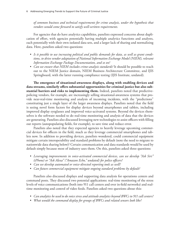*of common business and technical requirements for crime analysis, under the hypothesis that vendors would come forward to satisfy well-written requirements.*

For agencies that do have analytics capabilities, panelists expressed concerns about duplication of effort, with agencies potentially having multiple analytics functions and analysts, each potentially with their own isolated data sets, and a larger lack of sharing and normalizing data. Here, panelists asked two questions:

- *Is it possible to use increasing political and public demands for data, as well as grant conditions, to drive vendor adaptation of National Information Exchange Model (NIEM), relevant Information Exchange Package Documentation, and so on?*
- *Can we ensure that NIEM includes crime-analysis standards?* It should be possible to reach out to the NIEM Justice domain, NIEM Business Architecture Committee, and IJIS Springboard, with the latter running compliance testing (IJIS Institute, undated).

**The emergence of situational-awareness displays, along with enabling devices and data streams, similarly offers substantial opportunities for criminal justice but also substantial barriers and risks to implementing them.** Indeed, panelists noted that predictivepolicing vendors, for example, are increasingly selling situational-awareness systems that provide near-real-time monitoring and analysis of incoming incidents, with the "predictions" constituting just a single layer of the larger awareness displays. Panelists noted that the field is seeing novel form factors for display devices beyond smartphones and tablets, including improved display eyeglasses and improved voice-activated systems. Beyond the devices themselves is the software needed to do real-time monitoring and analysis of data that the devices are generating. Panelists also discussed leveraging new technologies to assist officers with filling out reports (autopopulating fields, for example), to save time and reduce error.

Panelists also noted that they expected agencies to heavily leverage upcoming commercial devices for officers in the field, much as they leverage commercial smartphones and tablets now. In addition to providing devices, panelists wondered, could commercial equipment mitigate certain interoperability and standard problems by default (note the need to migrate to nationwide data sharing below)? Certain communication and data standards would be used by default simply because most of industry uses them. On this, panelists asked three questions:

- *Leveraging improvements in voice-activated commercial devices, can we develop "Ask Siri" (iPhone) or "Ask Alexa" ("Amazon Echo," undated) for police officers?*
- *Can we develop automated or voice-directed reporting tools as well?*
- *Can future commercial equipment mitigate ongoing standard problems by default?*

Panelists also discussed displays and supporting data analysis for operations centers and command posts. They discussed two potential applications: real-time monitoring of the stress levels of voice communications (both into 911 call centers and over in-field networks) and realtime monitoring and control of video feeds. Panelists asked two questions about this:

- *Can analytics be used to do voice stress and attitude analytics beyond BWCs to 911 call centers?*
- *What would the command display for groups of BWCs and related sensors look like?*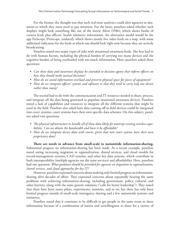For the former, the thought was that such real-time analytics could alert agencies to situations to which they most need to pay attention. For the latter, panelists asked whether such displays might look something like out of the movie *Aliens* (1986), which shows banks of camera feeds plus officers' health telemetry information. An alternative model would be the app Periscope (Periscope, undated), which shows mostly live video feeds on a map, with some additional indicators for the feeds at which one should look right now because they are actively broadcasting.

Panelists noted two major types of risks with situational-awareness feeds. The first had to do with human factors, including the physical burden of carrying too many devices and the cognitive burden of being overloaded with too much information. Here, panelists asked three questions:

- *Can these data and awareness displays be extended to decision agents that inform officers on how they should make tactical decisions?*
- *How do we avoid information overload and preserve physical space for pieces of equipment?*
- *How do we integrate officers' systems and software so that they need to carry only one device rather than many?*

The second had to do with the communication and IT resources needed to share, process, and integrate all the data being generated to populate situational-awareness devices. Panelists noted a lack of capabilities and resources to integrate all the different systems that might be used in the field. Panelists also asked how data coming off in-field devices could be integrated into court systems; court systems have their own specific data schemes. On this subject, panelists asked two questions:

- *The physical infrastructure to handle all of those data likely far outstrips existing wireless capabilities. Can we obtain the bandwidth and have it be affordable?*
- *How do we integrate device data with courts, given that new court systems have their own proprietary data?*

**There are needs to advance from small-scale to nationwide information-sharing.**  Substantial progress on information-sharing has been made. As a recent example, panelists noted seeing increasing migration to regionalization, shared services, and cloud models for record-management systems, CAD systems, and other key data systems, which contribute to both interoperability (multiple agencies use the same services) and affordability. Here, panelists had one question: *What guidance should be provided for agencies on migration to regionalization, shared services, and cloud approaches for key IT?*

However, panelists expressed concerns about making only limited progress on informationsharing after decades of effort. They expressed concerns about repeatedly hearing the same problems with achieving information-sharing, including government, policy, cultural, and other barriers, along with the same generic solutions ("calls for better leadership"). They noted that there have been many pilots, experiments, summits, and so on, but there has only been limited progress outside of small-scale interagency sharing and a few nationwide systems and initiatives.

Panelists noted that it continues to be difficult to get people in the same room to share information because of a combination of inertia and unwillingness to share for a variety of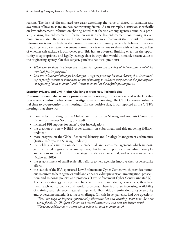reasons. The lack of disseminated use cases describing the value of shared information and awareness of how to share are two contributing factors. As an example, discussion specifically on law-enforcement information-sharing noted that sharing among agencies remains a problem; sharing law-enforcement information outside the law-enforcement community is even more problematic. There is a need to demonstrate to law enforcement that the risk of sharing information is not as high as the law-enforcement community generally believes. It is clear that, in general, the law-enforcement community is reluctant to share with others, regardless of whether this attitude is acknowledged. This has an adversely limiting effect on the opportunity to appropriately and legally leverage data in ways that would ultimately return value to the originating agency. On this subject, panelists had two questions:

- *What can be done to change the culture to support the sharing of information needed for criminal-justice purposes?*
- *Can the culture and dialogue be changed to support presumptive data sharing (i.e., from needing to justify reasons to share data to one of needing to validate exceptions to the presumption (or replacing "need to know" with "right to know" as the default presumption)?*

### **Security, Privacy, and Civil-Rights Challenges from New Technologies**

**Pressure to have cybersecurity protections is increasing,** and closely related is the fact that **pressure to conduct cybercrime investigations is increasing**. The CJTFG devoted substantial time to cybersecurity in its meetings. On the positive side, it was reported at the CJTFG meetings that there was

- more federal funding for the Multi-State Information Sharing and Analysis Center (see Center for Internet Security, undated)
- increased FBI support for states' cyber investigations
- the creation of a new NIEM cyber domain on cyberthreat and risk modeling (NIEM, undated)
- more progress on the Global Federated Identity and Privilege Management architecture (Justice Information Sharing, undated)
- the holding of a summit on identity, credential, and access management, which supports getting a single sign-on to secure systems, that led to a report recommending principles and actions to develop a future strategy for identity, credential, and access management (McEwen, 2015)
- the establishment of small-scale pilot efforts to help agencies improve their cybersecurity efforts
- the launch of the BJA-sponsored Law Enforcement Cyber Center, which provides numerous resources to help agencies build and enhance cyber prevention, investigation, prosecution, and response policies and protocols (Law Enforcement Cyber Center, undated [a]). The center's strategy is to provide basic information and strategies to chiefs, then have them reach out to county and vendor providers. There is also an increasing availability of training and reference material, in general. That said, dissemination of cybersecurity and cybercrime material is a major challenge. On this issue, panelists had two questions:
	- *What are ways to improve cybersecurity dissemination and training, both over the near term, for the IACP Cyber Center and related initiatives, and over the longer term?*
	- *Where are additional resources about which we need to know now?*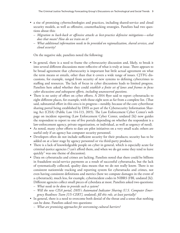- a rise of promising cybertechnologies and practices, including shared-service and cloud security models, as well as offensive, counterhacking strategies. Panelists had two questions about this:
	- *Migration to hack-back or offensive attacks as best-practice defensive mitigations—what does that mean? How do we train on it?*
	- *What additional information needs to be provided on regionalization, shared services, and cloud security?*

On the negative side, panelists noted the following:

- In general, there is a need to frame the cybersecurity discussion and, likely, to break it into several different discussions more reflective of what is truly at issue. There appears to be broad agreement that cybersecurity is important but little actual agreement on what the term means or entails, other than that it covers a wide range of issues. CJTFG discussions, for example, ranged from security of new systems to defining cybercrimes to staffing and resources. The lack of focus in cyber discussions leads to limited progress. Panelists here asked whether they could *establish a finite set of lanes and frames to focus cyber discussions and subsequent efforts, including unanswered questions.*
- There is no unity of effort on cyber efforts. A 2014 flyer said to report cyberattacks to eight different places, for example, with those eight seen as far from a complete list. (That said, substantial effort in this area is in progress—notably, because of the core cyberthreat sharing portal being established by DHS as part of the Cybersecurity Information Sharing Act (CISA) (Public Law 114-113, 2015). The Law Enforcement Cyber Center's web page on incident reporting (Law Enforcement Cyber Center, undated [b]) now guides the respondent to report to one of five portals depending on whether the respondent is a law-enforcement agency, private organization, or individual, as well as urgency of need).
- As noted, many cyber efforts to date are pilot initiatives on a very small scale; others are useful only if an agency has computer security personnel.
- Developers often do not include sufficient security for their products; security has to be added on at a later stage by agency personnel or via third-party products.
- There is a lack of knowledgeable people on cyber in general, which is especially acute for criminal-justice agencies ("can't afford them, and when we do get some they tend to leave quickly" was one theme of discussion).
- Data on cyberattacks and crimes are lacking. Panelists noted that there could be billions in fraudulent social-service payments as a result of successful cyberattacks, but the lack of systematically collected, quality data means that we do not really know. There is no consistent nationwide tracking and reporting system for cyberattacks and crimes, not even having consistent definitions and metrics (how we compute damages in the event of a cyberattack), much less, for example, cyberincident codes in NIBRS (FBI, undated [b]). Different agencies collect small pieces of cyberdata at most. Panelists asked two questions:
	- *What needs to be done to provide such a system?*
	- *Will the new CISA portal, DHS's Automated Indicator Sharing (U.S. Computer Emergency Readiness Team [US-CERT], undated), fill this role, at least partially?*
- In general, there is a need to overcome both denial of the threat and a sense that nothing can be done. Panelists asked two questions:
	- *What are promising approaches for overcoming cultural barriers?*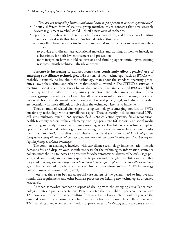- *What are the compelling business and actual cases to get agencies to focus on cybersecurity?*
- About a different form of security, group members raised concerns that new wearable devices (e.g., smart watches) could kick off a new wave of robberies.
- Specifically on cybercrime, there is a lack of tools, procedures, and knowledge of existing resources to deal with this threat. Panelists identified three needs:
	- compelling business cases (including actual cases) to get agencies interested in cybercrimes
	- to provide and disseminate educational materials and training on how to investigate cybercrimes, for both law enforcement and prosecutors
	- more insight on how to build solicitations and funding opportunities, given existing resources (mostly technical) already out there.

**Pressure is increasing to address issues that consistently affect agencies' use of emerging surveillance technologies.** Discussions of new technology (such as BWCs) will probably ultimately be less about the technology than about the standard operating procedures, law, policy, ethics, and other rules that should surround it. The CJTFG's discussion in meeting 2 about recent experiences by jurisdictions that have implemented BWCs are likely in no way novel to BWCs or to any single jurisdiction. Inevitably, implementation of new technology—particularly technologies that allow access to information that might not have previously been available—will create a long tail of related policy, legal, and ethical issues that are potentially far more difficult to solve than the technology itself is to implement.

Thus, a family of related challenges to using technology is emerging, not just for BWCs but for any technology with a surveillance aspect. These currently include automated LPRs, cell site simulators, touch DNA systems, field DNA-collection systems, facial recognition, health telemetry sensors, vehicle telemetry tracking, persistent IoT sensors, and social-media monitoring and analytics used by criminal-justice agencies. This list likely is far from complete. Specific technologies identified right now as raising the most concerns include cell site simulators, LPRs, and BWCs. Panelists asked whether they could *characterize which technologies are likely to be widely disseminated, as well as which ones will substantially affect practice, thus triggering this family of related challenges.*

The common challenges involved with surveillance-technology implementation include demands for, and disputes over, specific use cases for the technologies, information-assurance policies (note the link to increasing pressures for cyber protections, discussed below), usage policies, and community and external expert participation and oversight. Panelists asked whether they could *identify common requirements and best practices for implementing surveillance technologies.* This includes asking what they can learn from current efforts, such as IACP's Technology Policy Framework efforts (IACP, 2014).

Note that these can be seen as special case subsets of the general need to improve and standardize requirements and other business processes for fielding new technologies, discussed previously.

Another, somewhat competing aspect of dealing with the emerging surveillance technologies relates to public expectations. Panelists noted that the public expects commercial and TV show levels of performance resulting from new technologies: "Why couldn't you see the criminal commit the shooting, track him, and verify his identity over the satellite? I saw it on TV!" Panelists asked whether any standard approaches exist *for dealing with unrealistic expecta-*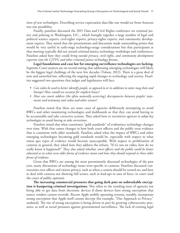*tions of new technologies*. Describing service expectation data like one would see from Amazon was one possibility.

Finally, panelists discussed the 2015 Data and Civil Rights conference on criminal justice and policing in Washington, D.C., which brought together a large number of legal and political science experts, civil-rights experts, privacy-rights experts, and community development experts. They noted that the presentations and discussion made outstanding points that would be very useful in early-stage technology-usage considerations but that participants at that meeting typically did not attend criminal-justice technology workshops and conferences. Panelists asked how they could *bring outside privacy, civil-rights, and community development expertise into the CJTFG and other criminal-justice technology forums.*

**Legal foundations and case law for emerging surveillance technologies are lacking.**  Supreme Court justices are on record stating that addressing emerging technologies will likely be the biggest legal challenge of the next few decades (Tolson, 2012). There is a great deal of new and unsettled law, reflecting the ongoing rapid changes to technology and society. Panelists suggested two questions that judges and legislatures will face:

- *Can video be used to better identify people, as opposed to or in addition to static mug shots and lineups? How would we account for implicit biases?*
- *How can courts address (the often naturally occurring) discrepancies between peoples' statements and testimony and video and other sensors?*

Panelists noted that there are some cases of agencies deliberately attempting to avoid BWCs and other monitoring technologies and dashboards so that they can avoid having to be accountable and take corrective actions. They asked how to *incentivize agencies to adopt key technologies to avoid having to take corrections.*

Panelists noted that what constitutes "gold standards" of evidentiary technology changes over time. With that comes changes in how both court officers and the public treat evidence that is consistent with older standards. Panelists asked what the impact of BWCs and other emerging technologies becoming gold standards would be, especially with respect to what status quo types of evidence would become unacceptable. With respect to proliferation of cameras in general, they asked how they address the refrain, "If it's not on video, how do we really know it happened?" They also asked whether *court officers and the public could be better educated as to what even older forms of evidence mean and how they should respond to those older forms of evidence.*

Given that BWCs are among the most preeminently discussed technologies of the past year, many discussions of technology issues were specific to cameras. Panelists discussed controversies over officer and citizen privacy, such as when a camera should be turned on, and how to deal with cameras not showing full scenes, such as lead-ups to uses of force, in court (and the court of public opinion).

**The increasing commercial pressures that going dark puts on unbreakable encryption is hampering criminal investigations.** This refers to the trending issue of agencies not being able to get data from electronic devices if those devices have strong encryption that source vendors cannot override. Recent Apple mobile operating systems, notably, incorporate strong encryption that Apple itself cannot decrypt (for example, "Our Approach to Privacy," undated). The rise of strong encryption is being driven in part by growing cybersecurity pressures, as well as social pressures against governmental surveillance. The lack of existing legal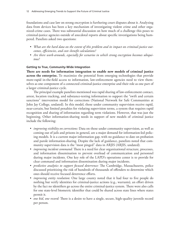foundations and case law on strong encryption is furthering court disputes about it. Analyzing data from devices has been a key mechanism of investigating violent crime and other organized-crime cases. There was substantial discussion on how much of a challenge this poses to criminal-justice agencies outside of anecdotal reports about specific investigations being hampered. Panelists asked two questions:

- *What are the hard data on the extent of this problem and its impact on criminal-justice outcomes, efficiencies, and cost–benefit calculations?*
- *Are there work-arounds, especially for scenarios in which strong encryption becomes ubiquitous?*

#### **Getting to True, Community-Wide Integration**

**There are needs for information integration to enable new models of criminal justice across the enterprise.** To maximize the potential from emerging technologies that provide more-rapid in-the-field access to information, law-enforcement agencies need to view themselves as one component of a connected criminal-justice enterprise and their role as one part of a larger criminal-justice cycle.

The principal example panelists mentioned was rapid sharing of law-enforcement contact, arrest, location tracking, and substance-testing information to support the "swift and certain sanctions" intervention model for corrections (National Network for Safe Communities at John Jay College, undated). In this model, those under community supervision receive rapid, near-certain, but limited penalties for violating supervision terms, a system that requires rapid recognition and sharing of information regarding term violations. However, that was just the beginning. Other information-sharing needs in support of new models of criminal justice include the following:

- *improving visibility on corrections:* Data on those under community supervision, as well as coming out of jails and prisons in general, are a major demand for information-led policing models. It is a current major information gap, with no guidance to date on probation and parole information-sharing. Despite the lack of guidance, panelists noted that community supervision data is the "most pinged" data in ARJIS (ARJIS, undated).
- *improving incident command:* There is a need for clear organizational structure, processes, and information dissemination to prevent overload of communication and personnel during major incidents. One key role of the LAPD's operations center is to provide for clear command and information dissemination during major incidents.
- *predictive analytics to support focused deterrence:* The Cambridge, Massachusetts, police discussed prioritizing the risk of hundreds of thousands of offenders to determine which ones should receive focused deterrence efforts.
- *improving entity resolution:* One large county noted that it had four to five people do nothing but verify identities for criminal-justice actions (e.g., warrants), an effort driven by the fact no identifiers go across the entire criminal-justice system. There were also calls for one state-level biometric identifier that could be shared across state lines where states permit it.
- *one kid, one record:* There is a desire to have a single, secure, high-quality juvenile record per person.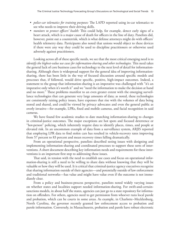- *police-car telematics for training purposes:* The LAPD reported using in-car telematics to see who needs to improve their driving skills.
- *monitors to protect officers' health:* This could help, for example, detect early signs of a heart attack, which is a major cause of death for officers in the line of duty. Panelists did, however, point out a counterrisk, which is what defense attorneys might do with officers' health telemetry data. Participants also noted that unions would object to these devices if there were any way they could be used to discipline practitioners or otherwise used adversely against practitioners.

Looking across all of these specific needs, we see that the most critical emerging need is to *identify the highest-value use cases for information-sharing and other technologies.* This need takes the general lack of core business cases for technology to the next level of detail for informationsharing. Although there is widespread support for the general idea of improving informationsharing, there has been little in the way of focused discussion around specific models and processes that, if followed, would drive specific, positive, high-impact outcomes. Indeed, a statement to the group that information-sharing is an imperative was challenged with "it's an imperative only when it's worth it" and we "need the information to make the decision at hand and no more." These problems manifest to an even greater extent with the emerging surveillance technologies that can generate very large amounts of data; as noted, these technologies are consistently raising policy issues, have expenses that rise with the volumes of data being stored and shared, and could be viewed by privacy advocates and even the general public as overly invasive—for example, LPRs, fixed and mobile cameras, and facial recognition in said cameras.

We have found few academic studies to date matching information-sharing to changes in criminal-justice outcomes. The major exceptions are hot spots and focused deterrence or "hot-person" policing, which inherently require data to identify places, times, and people at elevated risk. In an uncommon example of data from a surveillance system, ARJIS reported that employing LPR data to find stolen cars has resulted in vehicle-recovery rates improving from 57 percent to 83 percent and mean recovery times falling dramatically.

From an operational perspective, panelists described seeing issues with designing and implementing information-sharing and coordinated processes to support these sorts of interventions. A short document describing key information needs and requirements for these interventions is an important first step to addressing these issues.

That said, in tension with the need to establish use cases and focus on operational information-sharing is still a need to be willing to share data without knowing that they will be valuable or how they will be used. It is critical that criminal-justice agency executives recognize that sharing information outside of their agencies—and potentially outside of law enforcement and traditional networks—has value and might have value even if the outcome is not immediately clear.

From a policy and business-process perspective, panelists noted widely varying issues on whether states and localities support needed information-sharing. For swift-and-certainsanctions models, in about half the states, agencies can just go to a state repository for information on offenders. For others, agencies need to get permission from whoever runs local parole and probation, which can be courts in some areas. As example, in Charlotte–Mecklenburg, North Carolina, the governor recently granted law enforcement access to probation and parole information. Conversely, in Massachusetts, probation and parole have robust electronic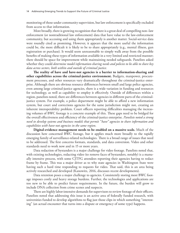monitoring of those under community supervision, but law enforcement is specifically excluded from access to that information.

More broadly, there is growing recognition that there is a great deal of compelling non–law enforcement (or nontraditional law enforcement) data that have value to the law-enforcement community, but accessing and using them appropriately is another matter. Social-service data were roundly cited as promising. However, it appears that the more useful the information could be, the more difficult it is likely to be to share appropriately (e.g., mental illness, gun registration or purchase). It would seem unreasonable to simply walk away from the possible benefits of making these types of information available in a very limited and restricted manner; there should be space for improvement while maintaining needed safeguards. Panelists asked whether they could *determine model information-sharing needs and policies to be able to share key data across sectors, both within and outside of criminal justice.*

**The reality of have and have-not agencies is a barrier to information-sharing and other capabilities across the criminal-justice environment.** Budgets, manpower, procurement processes, and other resources vary dramatically throughout the criminal-justice enterprise. Although there are obvious resource differences between small and large police agencies, even among large criminal-justice agencies, there is a wide variation in funding and resources for technology, as well as capability to employ it effectively. Outside of differences within a region, panelists noted, there are differences between agencies in different parts of the criminaljustice system. For example, a police department might be able to afford a new information system, but court and corrections agencies for the same jurisdiction might not, creating an inherent interoperability problem. Court officers reporting difficulties managing the increasing volumes of BWC footage is a concrete example of this. These gaps need to be bridged for the overall effectiveness and efficiency of the criminal-justice enterprise. *Panelists noted a strong need to develop systems and business models that permit "have" agencies to share information and capabilities with have-not agencies in the same region*.

**Digital-evidence management needs to be enabled on a massive scale.** Much of the discussion here concerned BWC footage, but it applies much more broadly to the rapidly emerging family of surveillance-related technologies. There is a broad range of issues that need to be addressed. The first concerns formats, standards, and data conversion. Video and other standards need to work now and in 15 or more years.

Data redaction of bystanders is a major challenge for video footage. Panelists noted that, with existing technologies, redacting video (to remove faces of bystanders, notably) is a manually intensive process, with some CJTFG attendees reporting their agencies having to redact frame by frame. This was a major driver as to why state agencies in Washington State were having such a hard time responding to requests for video. That said, this is an area being actively researched and developed (Kanowitz, 2016, discusses recent developments).

Data retention poses a major challenge to agencies. Consistently storing most BWC footage imposes costly and heavy storage burdens. Further, the technologies and applications are too new to be able to predict future requirements. In the future, the burden will grow to include DNA collection from crime scenes and suspects.

There are highly labor-intensive demands for supervisors to review footage of their officers. Panelists noted that addressing this issue is an active area of federally funded research, with universities funded to develop algorithms to flag just those clips in which something "interesting" (an actual encounter that turns into a dispute or emergency of some type) happens.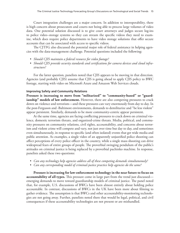Court integration challenges are a major concern. In addition to interoperability, there is high concern about prosecutors and courts not being able to process large volumes of video data. One potential solution discussed is to give court attorneys and judges secure log-ins to police video–storage systems so they can stream the specific videos they need to examine, which does require police departments to have video storage solutions that offer secure accounts that can be associated with access to specific videos.

The CJTFG also discussed the potential major role of federal assistance in helping agencies with the data-management challenge. Potential questions included the following:

- *Should CJIS maintain a federal resource for video footage?*
- *Should CJIS provide security standards and certifications for camera devices and cloud infrastructure?*

For the latter question, panelists noted that CJIS appears to be moving in that direction. Agencies (and probably CJIS) assume that CJIS is going ahead to apply CJIS policy to BWC footage, starting with video on Microsoft Azure and Amazon Web Services clouds.

#### **Improving Safety and Community Relations**

Pressure is increasing to move from "militarized" to "community-based" or "guardianship" models of law enforcement. However, there are also competing pressures to crack down on violence and terrorism—and these pressures can vary enormously from day to day. In the post-Ferguson and -Baltimore environments, demands to demilitarize and "be less violent" appear persistent. Similarly, demands to be more community-centric appear persistent.

At the same time, agencies are facing conflicting pressures to crack down on criminal violence, domestic terrorism threats, and organized-crime threats. Media, political, and community pressures on community relations, civil rights, accountability, and concerns about terrorism and violent crime will compete and vary, not just over time but day to day, and sometimes even simultaneously, in response to specific (and often isolated) events that get wide media and public attention. As examples, a single video of an apparently unjustified police shooting can affect perceptions of every police officer in the country, while a single mass shooting can drive widespread fears of entire groups of people. The proverbial swinging pendulum of the public's attitudes on criminal justice is being replaced by a proverbial pachinko machine. In response, panelists asked these two questions:

- *Can any technology help agencies address all of these competing demands simultaneously?*
- *Can any corresponding model of criminal-justice practice help agencies do the same?*

**Pressure is increasing for law-enforcement technology in the near future to focus on accountability of all types.** This pressure come in large part from the trend just discussed emerging demands to move toward guardianship models of criminal justice. The panel noted that, for example, U.S. discussions of BWCs have been almost entirely about holding police accountable. In contrast, discussions of BWCs in the UK have been more about filming to gather evidence. The assumption is that BWCs and other accountability-monitoring technologies are not going away. Further, panelists noted there that would be legal, political, and civil consequences if these accountability technologies are not present or are mishandled.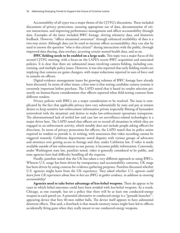Accountability of all types was a major theme of the CJTFG's discussions. These included discussions of privacy protections, ensuring appropriate use of data, documentation of citizen interactions, and improving performance management and officer accountability through data. Examples of the latter included BWC footage, driving telemetry data, and biometric feedback. However, "officer situational awareness" through enhanced availability of data is a two-way street: Although data can be used to increase officer accountability, they can also be used to answer the question "who is this citizen?" during interactions with the public, through improved data sharing, data overlays, accessing certain mental-health data, and so on.

**BWC fielding needs to be enabled on a large scale.** This topic was a major focus of the second CJTFG meeting, with a focus on the LAPD's recent BWC acquisition and associated policies. It is clear that there are substantial issues involving camera fielding, including cost, training, and multiple policy issues. However, it was also reported that early fielding results are implying that cameras are game changers, with major reductions reported in uses of force and in assaults on officers.

Digital-evidence management issues for growing volumes of BWC footage have already been discussed. In terms of other issues, a first note is that testing candidate camera systems is extremely important before purchase. The LAPD noted that it based its vendor selection primarily on human-factor considerations that officers reported when field-testing cameras from different vendors.

Privacy policies with BWCs are a major consideration to be resolved. The issue is complicated by the fact that applicable privacy laws vary substantially by state and put at tension desires to keep sensitive law-enforcement information private (especially filming of bystanders uninvolved with the situation) and desires to make law-enforcement operations transparent. The aforementioned lack of settled law and case law on surveillance-related technologies is a major driver here. The LAPD noted that officers are to record all situations in which they are engaged in an enforcement activity, which notably does not include people asking officers for directions. In terms of privacy protections for officers, the LAPD noted that its police union required its vendors to provide it, in writing, with assurances that video recording cannot be triggered remotely. California departments noted disputes with various groups of advocates and attorneys over getting access to footage and that, under California law, if video is made available outside of law enforcement to one person, it becomes public information. Conversely, under Washington state law, panelists noted, video is generally considered to be public, and state agencies have had difficulty handling all the requests.

Finally, panelists noted that the UK has taken a very different approach to using BWCs. Whereas U.S. usage has been driven by transparency and accountability concerns, UK usage has been driven by using cameras for evidence-gathering purposes. Panelists discussed whether U.S. agencies might learn from the UK experience. They asked whether *U.S. agencies could learn from UK experiences about how to best use BWCs to gather evidence, in addition to ensuring accountability?*

**Agencies need to take better advantage of less-lethal weapons.** There do appear to be cases in which lethal outcomes could have been avoided with less-lethal weapons. As a result, Chicago, as one example, has set a policy that there will be at least one conducted-energy weapon in each patrol car. A potential alternative to conducted energy is a "grenade launcher"appearing device that fires 40-mm rubber balls. The device itself appears to have substantial deterrent effects. That said, a drawback is that muscle-memory issues might have led to officers accidentally firing guns when they really meant to use conducted-energy weapons.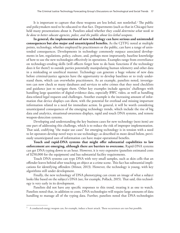It is important to capture that these weapons are less lethal, not nonlethal.<sup>1</sup> The public and policymakers need to be educated to that fact. Departments (such as that in Chicago) have held many presentations about it. Panelists asked whether they could *determine what needs to be done to better educate agencies, police, and the public about less-lethal weapons.*

**In general, the implementation of new technology can have serious and unintended consequences but also major and unanticipated benefits.** As the CJTFG noted at multiple points, technology, whether employed by practitioners or the public, can have a range of unintended consequences. Developments in technology commonly outpace associated developments in law, regulations, policy, culture, and, perhaps most importantly, baseline knowledge of how to use the new technologies effectively in operations. Examples range from overreliance on technology-eroding skills (will officers forget how to do basic functions if the technology does it for them?) to outside parties potentially manipulating human telemetry and other data in a misleading or unethical manner. Technology can generate a huge volume of new data before criminal-justice agencies have the opportunity to develop baselines or to truly understand them, which can overwhelm practitioners. As an example, panelists noted, investigators can now check so many databases and services to solve crimes that they need checklists and guidance just to navigate them. Other key examples include agencies' challenges with handling large quantities of digital-evidence data, especially BWC video, as well as handling data-related legal requests and challenges. Another example is the increasing amount of information that device displays can show, with the potential for overload and missing important information related to a need for immediate action. In general, it will be worth considering unanticipated consequences of the emerging technology trends, which include the rise of big data and analytics, situational-awareness displays, rapid and touch DNA systems, and remote weapon-detection systems.

Developing and understanding the key business cases for new technology (next item) are one part of addressing this challenge, which is to reduce the risk of improper implementation. That said, codifying "the major use cases" for emerging technology is in tension with a need to let operators develop novel ways to use technology; as described in more detail below, previously unanticipated uses of information can have major operational benefits.

**Touch and rapid-DNA systems that might offer substantial capabilities to law enforcement are emerging, although there are barriers to overcome.** Rapid-DNA systems can get DNA typing down to an hour. However, it is very expensive (panelists estimated costs of \$250,000 for the equipment) and has substantial facility requirements.

Touch DNA systems can type DNA with very small samples, such as skin cells that an offender leaves behind after touching an object at a crime scene. This fact has substantial implications for identifying offenders (Minor, 2013). However, the technology is young, with key algorithms still under development.

Finally, the new technology of DNA phenotyping can create an image of what a subject looks like based on the subject's DNA (see, for example, Pollack, 2015). That said, this technology is very early in its development.

Panelists did not have any specific responses to this trend, treating it as one to watch. Panelists noted that, in addition to costs, DNA technologies will require large amounts of data handling to manage all of the typing data. Further, panelists noted that DNA technologies

 $1$  A conducted-energy weapon can, for example, induce a heart attack. These occurrences are rare but possible.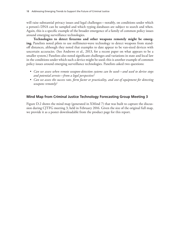will raise substantial privacy issues and legal challenges—notably, on conditions under which a person's DNA can be sampled and which typing databases are subject to search and when. Again, this is a specific example of the broader emergence of a family of common policy issues around emerging surveillance technologies.

**Technologies to detect firearms and other weapons remotely might be emerging.** Panelists noted pilots to use millimeter-wave technology to detect weapons from standoff distances, although they noted that examples to date appear to be van-sized devices with uncertain accuracies. (See Andrews et al., 2013, for a recent paper on what appears to be a smaller system.) Panelists also noted significant challenges and variations in state and local law in the conditions under which such a device might be used; this is another example of common policy issues around emerging surveillance technologies. Panelists asked two questions:

- *Can we assess when remote weapon-detection systems can be used—and used to derive stops and potential arrests—from a legal perspective?*
- *Can we assess the success rate, form factor or practicality, and cost of equipment for detecting weapons remotely?*

# **Mind Map from Criminal Justice Technology Forecasting Group Meeting 3**

Figure D.2 shows the mind map (generated in XMind 7) that was built to capture the discussion during CJTFG meeting 3, held in February 2016. Given the size of the original full map, we provide it as a poster downloadable from the product page for this report.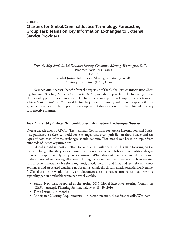APPENDIX E

# **Charters for Global/Criminal Justice Technology Forecasting Group Task Teams on Key Information Exchanges to External Service Providers**

*From the May 2016 Global Executive Steering Committee Meeting, Washington, D.C.:* Proposed New Task Teams for the Global Justice Information Sharing Initiative (Global) Advisory Committee (GAC, Committee)

New activities that will benefit from the expertise of the Global Justice Information Sharing Initiative (Global) Advisory Committee (GAC) membership include the following. These efforts and opportunities fit nicely into Global's operational process of employing task teams to achieve "quick wins" and "value-adds" for the justice community. Additionally, given Global's agile task team approach, support for development of these solutions can be achieved in a very cost-effective manner.

## **Task 1: Identify Critical Nontraditional Information Exchanges Needed**

Over a decade ago, SEARCH, The National Consortium for Justice Information and Statistics, published a reference model for exchanges that every jurisdiction should have and the types of data each of those exchanges should contain. That model was based on input from hundreds of justice organizations.

Global should support an effort to conduct a similar exercise, this time focusing on the many exchanges that the justice community now needs to accomplish with nontraditional organizations to appropriately carry out its mission. While this task has been partially addressed in the context of supporting efforts—including justice reinvestment, reentry, problem-solving courts (other innovative diversion programs), pretrial reform, and fines and fees reform—those exchanges and associated data have not been systematically documented. Potential Deliverable: A Global task team would identify and document core business requirements to address this capability gap in a valuable white paper/deliverable.

- Status: New task. Proposed at the Spring 2016 Global Executive Steering Committee (GESC) Strategic Planning Session, held May 18–19, 2016
- Time Frame: 3–4 months
- Anticipated Meeting Requirements: 1 in-person meeting, 4 conference calls/Webinars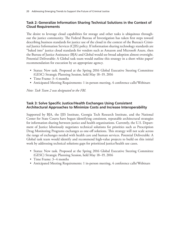# **Task 2: Generalize Information Sharing Technical Solutions in the Context of Cloud Requirements**

The desire to leverage cloud capabilities for storage and other tasks is ubiquitous throughout the justice community. The Federal Bureau of Investigation has taken first steps toward describing business standards for justice use of the cloud in the context of the Bureau's Criminal Justice Information Services (CJIS) policy. If information sharing technology standards are "baked into" justice cloud standards for vendors such as Amazon and Microsoft Azure, then the Bureau of Justice Assistance (BJA) and Global would see broad adoption almost overnight. Potential Deliverable: A Global task team would outline this strategy in a short white paper/ recommendation for execution by an appropriate agency.

- Status: New task. Proposed at the Spring 2016 Global Executive Steering Committee (GESC) Strategic Planning Session, held May 18–19, 2016
- Time Frame: 3–4 months
- Anticipated Meeting Requirements: 1 in-person meeting, 4 conference calls/Webinars

*Note: Task Team 2 was designated to the FBI.*

# **Task 3: Solve Specific Justice/Health Exchanges Using Consistent Architectural Approaches to Minimize Costs and Increase Interoperability**

Supported by BJA, the IJIS Institute, Georgia Tech Research Institute, and the National Center for State Courts have begun identifying consistent, repeatable architectural strategies for information sharing between justice and health organizations. Currently, the U.S. Department of Justice laboriously negotiates technical solutions for priorities such as Prescription Drug Monitoring Programs exchanges as one-off solutions. This strategy will not scale across the range of exchanges needed with health care and human services. Potential Deliverable: A Global task team would identify and recommend high-value projects to build on this initial work by addressing technical solutions gaps for prioritized justice/health use cases.

- Status: New task. Proposed at the Spring 2016 Global Executive Steering Committee (GESC) Strategic Planning Session, held May 18–19, 2016
- Time Frame: 3–4 months
- Anticipated Meeting Requirements: 1 in-person meeting, 4 conference calls/Webinars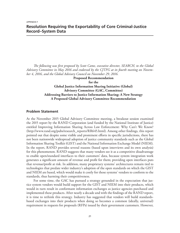# **Resolution Requiring the Exportability of Core Criminal-Justice Record–System Data**

*The following was first proposed by Scott Came, executive director, SEARCH, to the Global Advisory Committee in May 2016 and endorsed by the CJTFG at its fourth meeting on November 4, 2016, and the Global Advisory Council on November 29, 2016.*

> **Proposed Recommendation for the Global Justice Information Sharing Initiative (Global) Advisory Committee (GAC, Committee) Addressing Barriers to Justice Information Sharing: A New Strategy A Proposed Global Advisory Committee Recommendation**

#### **Problem Statement**

At the November 2015 Global Advisory Committee meeting, a breakout session examined the 2015 report by the RAND Corporation (and funded by the National Institute of Justice) entitled Improving Information Sharing Across Law Enforcement: Why Can't We Know? ([http://www.rand.org/pubs/research\\_reports/RR645.html\)](http://www.rand.org/pubs/research_reports/RR645.html). Among other findings, this report pointed out that despite some visible and prominent efforts in specific jurisdictions, there has not been nationwide widespread adoption of justice community standards such as the Global Information Sharing Toolkit (GIST) and the National Information Exchange Model (NIEM). In the report, RAND provides several reasons (based upon interviews and its own analysis) for this phenomenon. RAND suggests that many vendors see it as a competitive disadvantage to enable open/standard interfaces to their customers' data, because system integration work generates a significant amount of revenue and profit for them; providing open interfaces puts that revenue/profit at risk. In addition, many proprietary systems' architectures remain tied to technologies that predate wider industry's adoption of the open standards on which the GIST and NIEM are based, which would make it costly for those systems' vendors to conform to the standards, thus harming their competitiveness.

For some time, the GAC has pursued a strategy grounded in the expectation that justice system vendors would build support for the GIST and NIEM into their products, which would in turn result in conformant information exchanges as justice agencies purchased and implemented these products. After nearly a decade and with the findings of the RAND report, it is time to rethink this strategy. Industry has suggested that vendors will build standardsbased exchanges into their products when doing so becomes a common (ideally, universal) requirement in requests for proposals (RFPs) issued by their government customers. However,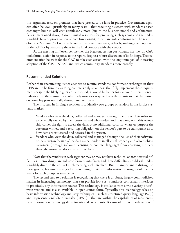this argument rests on premises that have proved to be false in practice. Government agencies often believe—justifiably, in many cases—that procuring a system with standards-based exchanges built in will cost significantly more (due to the business model and architectural factors mentioned above). Given limited resources for procuring such systems and the understandable buyer's prioritization of core functionality over standards conformance, the result is often the "softening" of standards conformance requirements, either by making them optional in the RFP or by removing them in the final contract with the vendor.

At the meeting in November, neither the breakout session participants nor the full GAC took formal action in response to the report, despite a robust discussion of its findings. The recommendation below is for the GAC to take such action, with the long-term goal of increasing adoption of the GIST, NIEM, and justice community standards more broadly.

#### **Recommended Solution**

Rather than encouraging justice agencies to require standards-conformant exchanges in their RFPs and to be firm in awarding contracts only to vendors that fully implement those requirements despite the likely higher costs involved, it would be better for everyone—practitioners, industry, and the community collectively—to seek ways to lower those costs so that the desired outcome happens naturally through market forces.

The first step in finding a solution is to identify two groups of vendors in the justice systems market:

- 1. Vendors who view the data, collected and managed through the use of their software, to be wholly owned by their customer and who understand that along with this ownership comes the right to access the data, at no additional cost, for whatever purpose the customer wishes, and a resulting obligation on the vendor's part to be transparent as to how data are structured and accessed in the system.
- 2. Vendors who view the data, collected and managed through the use of their software, or the structure/design of the data as the vendor's intellectual property and who prohibit customers (through software licensing or contract language) from accessing it except through custom vendor-provided interfaces.

Note that the vendors in each segment may or may not have technical or architectural difficulties in providing standards-conformant interfaces, and these difficulties would still understandably drive up the costs of implementing such interfaces. But it is important to distinguish these groups, because strategies for overcoming barriers to information sharing should be different for each group, as seen below.

The second step to a solution is recognizing that there is a robust, largely commoditized market in interfacing technology that can provide low-cost, standards-conformant interfaces to practically any information source. This technology is available from a wide variety of software vendors and is also available in open source form. Typically, this technology relies on basic information technology industry techniques—such as structured query language (SQL) and Representational State Transfer (REST)—that are within the capabilities of most enterprise information technology departments and consultants. Because of the commoditization of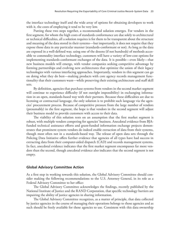the interface technology itself and the wide array of options for obtaining developers to work with it, the costs of employing it tend to be very low.

Putting these two steps together, a recommended solution emerges. For vendors in the first segment, for whom the high costs of standards conformance are due solely to architectural or technical difficulties, all a solution requires is for them to be transparent about the structure and meaning of the data stored in their systems—but importantly, it does not require that they expose those data in any particular manner (standards-conformant or not). As long as the data are exposed in a well-defined way, using one of the dozens (if not hundreds) of methods accessible to commodity interface technology, customers will have a variety of low-cost options for implementing standards-conformant exchanges of the data. It is possible—even likely—that new business models will emerge, with vendor companies seeking competitive advantage by forming partnerships and evolving new architectures that optimize the union of their legacy technologies with various interfacing approaches. Importantly, vendors in this segment can go on doing what they do best—making products with core agency records management functionality that their customers want—while preserving their existing architecture and staff skill sets.

By definition, agencies that purchase systems from vendors in the second market segment will continue to experience difficulty (if not outright impossibility) in exchanging information in an open, standards-based way with their partners. Because these difficulties are due to licensing or contractual language, the only solution is to prohibit such language via the agencies' procurement process. Because of competitive pressure from the large number of vendors (presumably) in the first segment, the hope is that vendors in the second segment will adjust their business model to provide customers with access to their data.

The viability of this solution rests on an assumption that the first market segment is robust, with multiple vendors competing for agencies' business. Anecdotal evidence from BJAfunded technical assistance efforts and grant-funded information exchange projects demonstrates that prominent system vendors do indeed enable extraction of data from their systems, though most often not in a standards-based way. The release of open data sets through the Policing Data Initiative offers further evidence that agencies of all types have had success in extracting data from their computer-aided dispatch (CAD) and records management systems. In fact, anecdotal evidence indicates that the first market segment encompasses far more vendors than the second, though anecdotal evidence also indicates that the second segment is not empty.

#### **Global Advisory Committee Action**

As a first step in working towards this solution, the Global Advisory Committee should consider making the following recommendations to the U.S. Attorney General, in its role as a Federal Advisory Committee to her office:

The Global Advisory Committee acknowledges the findings, recently published by the National Institute of Justice and the RAND Corporation, that specific technology barriers are impairing the ability of justice agencies in sharing information.

The Global Advisory Committee recognizes, as a matter of principle, that data collected by justice agencies in the course of managing their operations belongs to those agencies and as such should be freely available for those agencies to use. Consistent with this data ownership